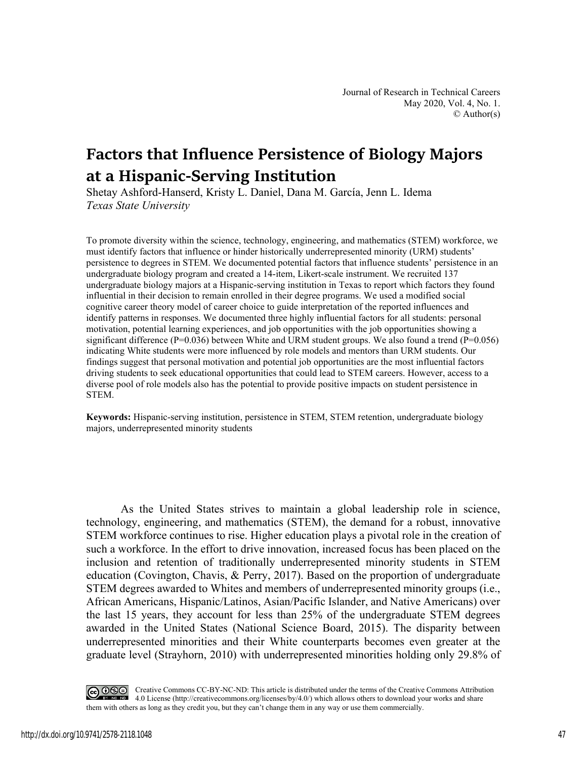# **Factors that Influence Persistence of Biology Majors at a Hispanic-Serving Institution**

Shetay Ashford-Hanserd, Kristy L. Daniel, Dana M. García, Jenn L. Idema *Texas State University* 

To promote diversity within the science, technology, engineering, and mathematics (STEM) workforce, we must identify factors that influence or hinder historically underrepresented minority (URM) students' persistence to degrees in STEM. We documented potential factors that influence students' persistence in an undergraduate biology program and created a 14-item, Likert-scale instrument. We recruited 137 undergraduate biology majors at a Hispanic-serving institution in Texas to report which factors they found influential in their decision to remain enrolled in their degree programs. We used a modified social cognitive career theory model of career choice to guide interpretation of the reported influences and identify patterns in responses. We documented three highly influential factors for all students: personal motivation, potential learning experiences, and job opportunities with the job opportunities showing a significant difference ( $P=0.036$ ) between White and URM student groups. We also found a trend ( $P=0.056$ ) indicating White students were more influenced by role models and mentors than URM students. Our findings suggest that personal motivation and potential job opportunities are the most influential factors driving students to seek educational opportunities that could lead to STEM careers. However, access to a diverse pool of role models also has the potential to provide positive impacts on student persistence in STEM.

**Keywords:** Hispanic-serving institution, persistence in STEM, STEM retention, undergraduate biology majors, underrepresented minority students

As the United States strives to maintain a global leadership role in science, technology, engineering, and mathematics (STEM), the demand for a robust, innovative STEM workforce continues to rise. Higher education plays a pivotal role in the creation of such a workforce. In the effort to drive innovation, increased focus has been placed on the inclusion and retention of traditionally underrepresented minority students in STEM education (Covington, Chavis, & Perry, 2017). Based on the proportion of undergraduate STEM degrees awarded to Whites and members of underrepresented minority groups (i.e., African Americans, Hispanic/Latinos, Asian/Pacific Islander, and Native Americans) over the last 15 years, they account for less than 25% of the undergraduate STEM degrees awarded in the United States (National Science Board, 2015). The disparity between underrepresented minorities and their White counterparts becomes even greater at the graduate level (Strayhorn, 2010) with underrepresented minorities holding only 29.8% of

Creative Commons CC-BY-NC-ND: This article is distributed under the terms of the Creative Commons Attribution 4.0 License (http://creativecommons.org/licenses/by/4.0/) which allows others to download your works and share them with others as long as they credit you, but they can't change them in any way or use them commercially.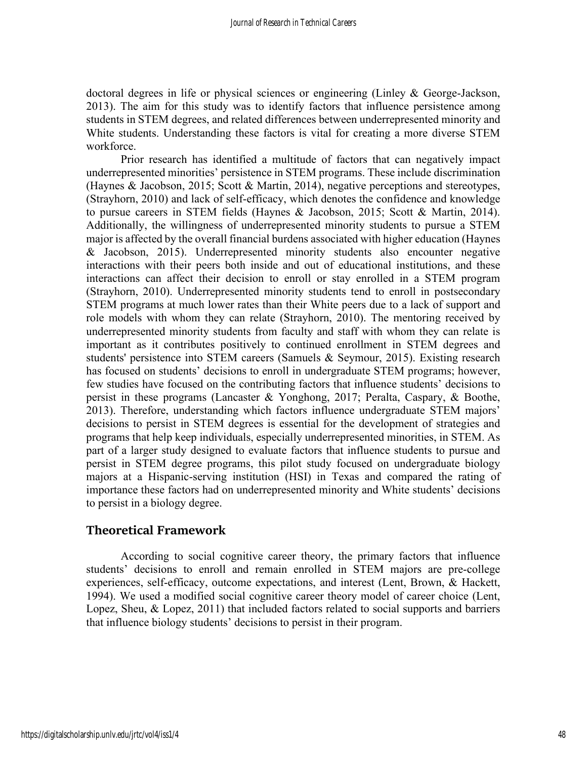doctoral degrees in life or physical sciences or engineering (Linley & George-Jackson, 2013). The aim for this study was to identify factors that influence persistence among students in STEM degrees, and related differences between underrepresented minority and White students. Understanding these factors is vital for creating a more diverse STEM workforce.

Prior research has identified a multitude of factors that can negatively impact underrepresented minorities' persistence in STEM programs. These include discrimination (Haynes & Jacobson, 2015; Scott & Martin, 2014), negative perceptions and stereotypes, (Strayhorn, 2010) and lack of self-efficacy, which denotes the confidence and knowledge to pursue careers in STEM fields (Haynes & Jacobson, 2015; Scott & Martin, 2014). Additionally, the willingness of underrepresented minority students to pursue a STEM major is affected by the overall financial burdens associated with higher education (Haynes & Jacobson, 2015). Underrepresented minority students also encounter negative interactions with their peers both inside and out of educational institutions, and these interactions can affect their decision to enroll or stay enrolled in a STEM program (Strayhorn, 2010). Underrepresented minority students tend to enroll in postsecondary STEM programs at much lower rates than their White peers due to a lack of support and role models with whom they can relate (Strayhorn, 2010). The mentoring received by underrepresented minority students from faculty and staff with whom they can relate is important as it contributes positively to continued enrollment in STEM degrees and students' persistence into STEM careers (Samuels & Seymour, 2015). Existing research has focused on students' decisions to enroll in undergraduate STEM programs; however, few studies have focused on the contributing factors that influence students' decisions to persist in these programs (Lancaster & Yonghong, 2017; Peralta, Caspary, & Boothe, 2013). Therefore, understanding which factors influence undergraduate STEM majors' decisions to persist in STEM degrees is essential for the development of strategies and programs that help keep individuals, especially underrepresented minorities, in STEM. As part of a larger study designed to evaluate factors that influence students to pursue and persist in STEM degree programs, this pilot study focused on undergraduate biology majors at a Hispanic-serving institution (HSI) in Texas and compared the rating of importance these factors had on underrepresented minority and White students' decisions to persist in a biology degree.

# **Theoretical Framework**

According to social cognitive career theory, the primary factors that influence students' decisions to enroll and remain enrolled in STEM majors are pre-college experiences, self-efficacy, outcome expectations, and interest (Lent, Brown, & Hackett, 1994). We used a modified social cognitive career theory model of career choice (Lent, Lopez, Sheu, & Lopez, 2011) that included factors related to social supports and barriers that influence biology students' decisions to persist in their program.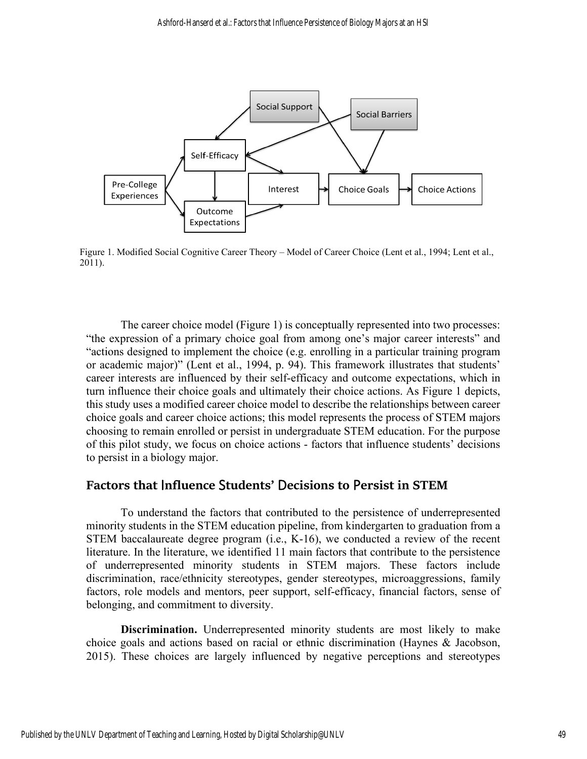

Figure 1. Modified Social Cognitive Career Theory – Model of Career Choice (Lent et al., 1994; Lent et al., 2011).

The career choice model (Figure 1) is conceptually represented into two processes: "the expression of a primary choice goal from among one's major career interests" and "actions designed to implement the choice (e.g. enrolling in a particular training program or academic major)" (Lent et al., 1994, p. 94). This framework illustrates that students' career interests are influenced by their self-efficacy and outcome expectations, which in turn influence their choice goals and ultimately their choice actions. As Figure 1 depicts, this study uses a modified career choice model to describe the relationships between career choice goals and career choice actions; this model represents the process of STEM majors choosing to remain enrolled or persist in undergraduate STEM education. For the purpose of this pilot study, we focus on choice actions - factors that influence students' decisions to persist in a biology major.

## **Factors that** I**nfluence** S**tudents'** D**ecisions to** P**ersist in STEM**

To understand the factors that contributed to the persistence of underrepresented minority students in the STEM education pipeline, from kindergarten to graduation from a STEM baccalaureate degree program (i.e., K-16), we conducted a review of the recent literature. In the literature, we identified 11 main factors that contribute to the persistence of underrepresented minority students in STEM majors. These factors include discrimination, race/ethnicity stereotypes, gender stereotypes, microaggressions, family factors, role models and mentors, peer support, self-efficacy, financial factors, sense of belonging, and commitment to diversity.

**Discrimination.** Underrepresented minority students are most likely to make choice goals and actions based on racial or ethnic discrimination (Haynes & Jacobson, 2015). These choices are largely influenced by negative perceptions and stereotypes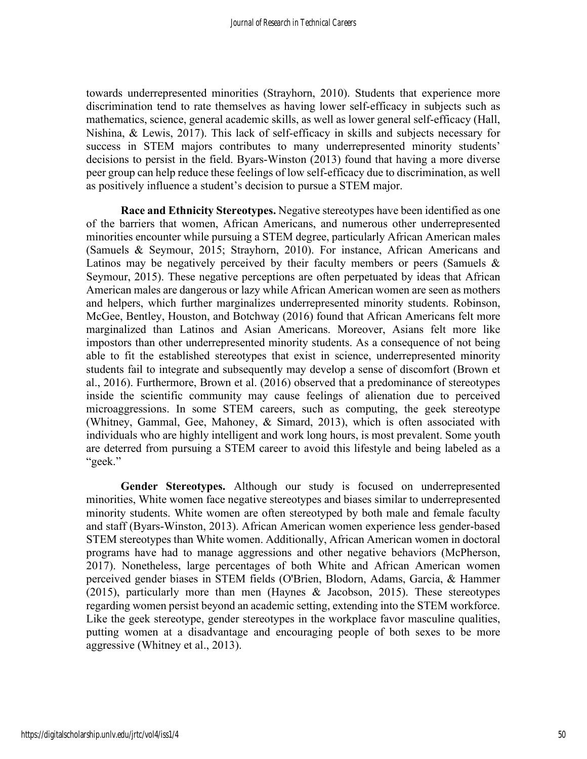towards underrepresented minorities (Strayhorn, 2010). Students that experience more discrimination tend to rate themselves as having lower self-efficacy in subjects such as mathematics, science, general academic skills, as well as lower general self-efficacy (Hall, Nishina, & Lewis, 2017). This lack of self-efficacy in skills and subjects necessary for success in STEM majors contributes to many underrepresented minority students' decisions to persist in the field. Byars-Winston (2013) found that having a more diverse peer group can help reduce these feelings of low self-efficacy due to discrimination, as well as positively influence a student's decision to pursue a STEM major.

**Race and Ethnicity Stereotypes.** Negative stereotypes have been identified as one of the barriers that women, African Americans, and numerous other underrepresented minorities encounter while pursuing a STEM degree, particularly African American males (Samuels & Seymour, 2015; Strayhorn, 2010). For instance, African Americans and Latinos may be negatively perceived by their faculty members or peers (Samuels & Seymour, 2015). These negative perceptions are often perpetuated by ideas that African American males are dangerous or lazy while African American women are seen as mothers and helpers, which further marginalizes underrepresented minority students. Robinson, McGee, Bentley, Houston, and Botchway (2016) found that African Americans felt more marginalized than Latinos and Asian Americans. Moreover, Asians felt more like impostors than other underrepresented minority students. As a consequence of not being able to fit the established stereotypes that exist in science, underrepresented minority students fail to integrate and subsequently may develop a sense of discomfort (Brown et al., 2016). Furthermore, Brown et al. (2016) observed that a predominance of stereotypes inside the scientific community may cause feelings of alienation due to perceived microaggressions. In some STEM careers, such as computing, the geek stereotype (Whitney, Gammal, Gee, Mahoney, & Simard, 2013), which is often associated with individuals who are highly intelligent and work long hours, is most prevalent. Some youth are deterred from pursuing a STEM career to avoid this lifestyle and being labeled as a "geek."

**Gender Stereotypes.** Although our study is focused on underrepresented minorities, White women face negative stereotypes and biases similar to underrepresented minority students. White women are often stereotyped by both male and female faculty and staff (Byars-Winston, 2013). African American women experience less gender-based STEM stereotypes than White women. Additionally, African American women in doctoral programs have had to manage aggressions and other negative behaviors (McPherson, 2017). Nonetheless, large percentages of both White and African American women perceived gender biases in STEM fields (O'Brien, Blodorn, Adams, Garcia, & Hammer (2015), particularly more than men (Haynes & Jacobson, 2015). These stereotypes regarding women persist beyond an academic setting, extending into the STEM workforce. Like the geek stereotype, gender stereotypes in the workplace favor masculine qualities, putting women at a disadvantage and encouraging people of both sexes to be more aggressive (Whitney et al., 2013).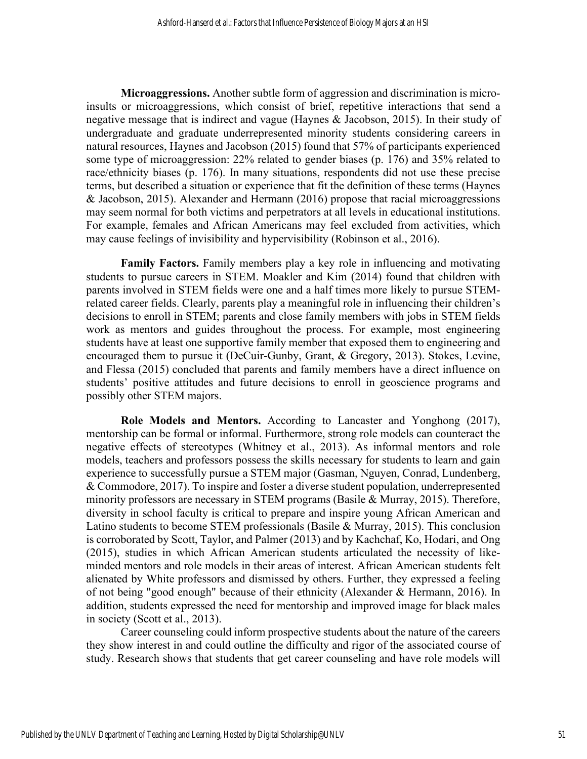**Microaggressions.** Another subtle form of aggression and discrimination is microinsults or microaggressions, which consist of brief, repetitive interactions that send a negative message that is indirect and vague (Haynes  $\&$  Jacobson, 2015). In their study of undergraduate and graduate underrepresented minority students considering careers in natural resources, Haynes and Jacobson (2015) found that 57% of participants experienced some type of microaggression: 22% related to gender biases (p. 176) and 35% related to race/ethnicity biases (p. 176). In many situations, respondents did not use these precise terms, but described a situation or experience that fit the definition of these terms (Haynes & Jacobson, 2015). Alexander and Hermann (2016) propose that racial microaggressions may seem normal for both victims and perpetrators at all levels in educational institutions. For example, females and African Americans may feel excluded from activities, which may cause feelings of invisibility and hypervisibility (Robinson et al., 2016).

**Family Factors.** Family members play a key role in influencing and motivating students to pursue careers in STEM. Moakler and Kim (2014) found that children with parents involved in STEM fields were one and a half times more likely to pursue STEMrelated career fields. Clearly, parents play a meaningful role in influencing their children's decisions to enroll in STEM; parents and close family members with jobs in STEM fields work as mentors and guides throughout the process. For example, most engineering students have at least one supportive family member that exposed them to engineering and encouraged them to pursue it (DeCuir-Gunby, Grant, & Gregory, 2013). Stokes, Levine, and Flessa (2015) concluded that parents and family members have a direct influence on students' positive attitudes and future decisions to enroll in geoscience programs and possibly other STEM majors.

**Role Models and Mentors.** According to Lancaster and Yonghong (2017), mentorship can be formal or informal. Furthermore, strong role models can counteract the negative effects of stereotypes (Whitney et al., 2013). As informal mentors and role models, teachers and professors possess the skills necessary for students to learn and gain experience to successfully pursue a STEM major (Gasman, Nguyen, Conrad, Lundenberg, & Commodore, 2017). To inspire and foster a diverse student population, underrepresented minority professors are necessary in STEM programs (Basile & Murray, 2015). Therefore, diversity in school faculty is critical to prepare and inspire young African American and Latino students to become STEM professionals (Basile & Murray, 2015). This conclusion is corroborated by Scott, Taylor, and Palmer (2013) and by Kachchaf, Ko, Hodari, and Ong (2015), studies in which African American students articulated the necessity of likeminded mentors and role models in their areas of interest. African American students felt alienated by White professors and dismissed by others. Further, they expressed a feeling of not being "good enough" because of their ethnicity (Alexander & Hermann, 2016). In addition, students expressed the need for mentorship and improved image for black males in society (Scott et al., 2013).

Career counseling could inform prospective students about the nature of the careers they show interest in and could outline the difficulty and rigor of the associated course of study. Research shows that students that get career counseling and have role models will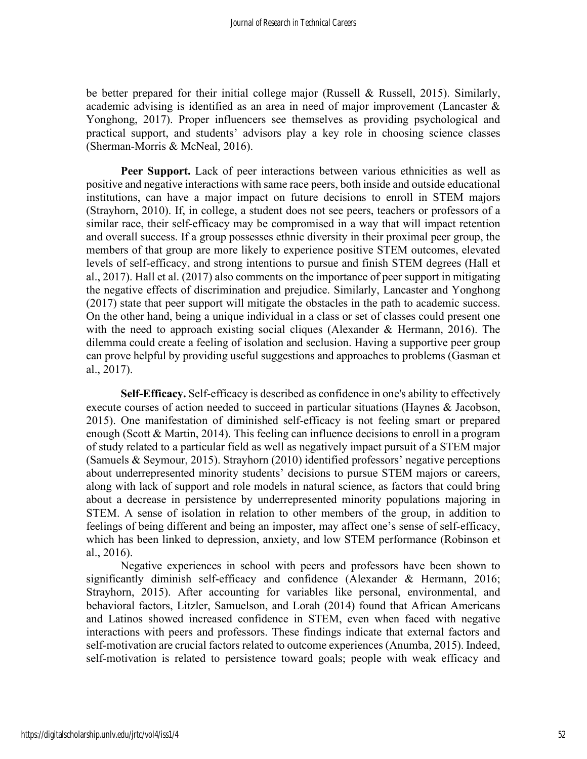be better prepared for their initial college major (Russell & Russell, 2015). Similarly, academic advising is identified as an area in need of major improvement (Lancaster & Yonghong, 2017). Proper influencers see themselves as providing psychological and practical support, and students' advisors play a key role in choosing science classes (Sherman-Morris & McNeal, 2016).

**Peer Support.** Lack of peer interactions between various ethnicities as well as positive and negative interactions with same race peers, both inside and outside educational institutions, can have a major impact on future decisions to enroll in STEM majors (Strayhorn, 2010). If, in college, a student does not see peers, teachers or professors of a similar race, their self-efficacy may be compromised in a way that will impact retention and overall success. If a group possesses ethnic diversity in their proximal peer group, the members of that group are more likely to experience positive STEM outcomes, elevated levels of self-efficacy, and strong intentions to pursue and finish STEM degrees (Hall et al., 2017). Hall et al. (2017) also comments on the importance of peer support in mitigating the negative effects of discrimination and prejudice. Similarly, Lancaster and Yonghong (2017) state that peer support will mitigate the obstacles in the path to academic success. On the other hand, being a unique individual in a class or set of classes could present one with the need to approach existing social cliques (Alexander & Hermann, 2016). The dilemma could create a feeling of isolation and seclusion. Having a supportive peer group can prove helpful by providing useful suggestions and approaches to problems (Gasman et al., 2017).

**Self-Efficacy.** Self-efficacy is described as confidence in one's ability to effectively execute courses of action needed to succeed in particular situations (Haynes & Jacobson, 2015). One manifestation of diminished self-efficacy is not feeling smart or prepared enough (Scott & Martin, 2014). This feeling can influence decisions to enroll in a program of study related to a particular field as well as negatively impact pursuit of a STEM major (Samuels & Seymour, 2015). Strayhorn (2010) identified professors' negative perceptions about underrepresented minority students' decisions to pursue STEM majors or careers, along with lack of support and role models in natural science, as factors that could bring about a decrease in persistence by underrepresented minority populations majoring in STEM. A sense of isolation in relation to other members of the group, in addition to feelings of being different and being an imposter, may affect one's sense of self-efficacy, which has been linked to depression, anxiety, and low STEM performance (Robinson et al., 2016).

Negative experiences in school with peers and professors have been shown to significantly diminish self-efficacy and confidence (Alexander & Hermann, 2016; Strayhorn, 2015). After accounting for variables like personal, environmental, and behavioral factors, Litzler, Samuelson, and Lorah (2014) found that African Americans and Latinos showed increased confidence in STEM, even when faced with negative interactions with peers and professors. These findings indicate that external factors and self-motivation are crucial factors related to outcome experiences (Anumba, 2015). Indeed, self-motivation is related to persistence toward goals; people with weak efficacy and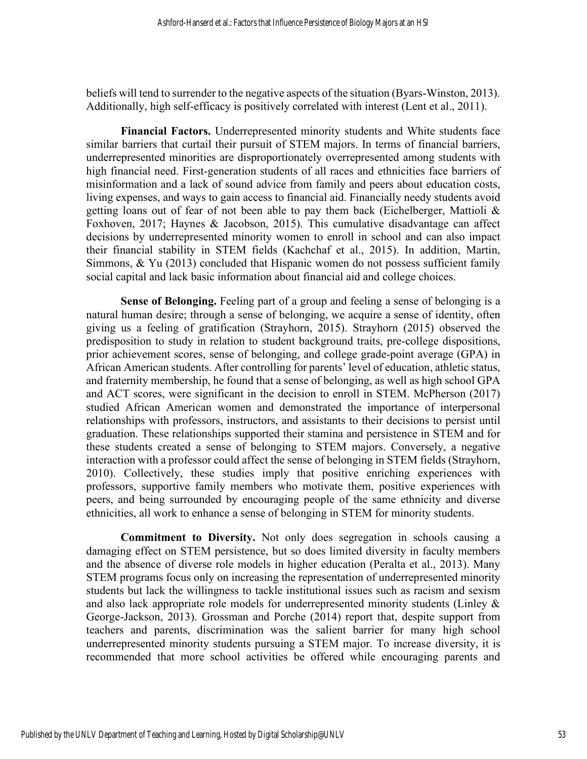beliefs will tend to surrender to the negative aspects of the situation (Byars-Winston, 2013). Additionally, high self-efficacy is positively correlated with interest (Lent et al., 2011).

**Financial Factors.** Underrepresented minority students and White students face similar barriers that curtail their pursuit of STEM majors. In terms of financial barriers, underrepresented minorities are disproportionately overrepresented among students with high financial need. First-generation students of all races and ethnicities face barriers of misinformation and a lack of sound advice from family and peers about education costs, living expenses, and ways to gain access to financial aid. Financially needy students avoid getting loans out of fear of not been able to pay them back (Eichelberger, Mattioli & Foxhoven, 2017; Haynes & Jacobson, 2015). This cumulative disadvantage can affect decisions by underrepresented minority women to enroll in school and can also impact their financial stability in STEM fields (Kachchaf et al., 2015). In addition, Martin, Simmons, & Yu (2013) concluded that Hispanic women do not possess sufficient family social capital and lack basic information about financial aid and college choices.

**Sense of Belonging.** Feeling part of a group and feeling a sense of belonging is a natural human desire; through a sense of belonging, we acquire a sense of identity, often giving us a feeling of gratification (Strayhorn, 2015). Strayhorn (2015) observed the predisposition to study in relation to student background traits, pre-college dispositions, prior achievement scores, sense of belonging, and college grade-point average (GPA) in African American students. After controlling for parents' level of education, athletic status, and fraternity membership, he found that a sense of belonging, as well as high school GPA and ACT scores, were significant in the decision to enroll in STEM. McPherson (2017) studied African American women and demonstrated the importance of interpersonal relationships with professors, instructors, and assistants to their decisions to persist until graduation. These relationships supported their stamina and persistence in STEM and for these students created a sense of belonging to STEM majors. Conversely, a negative interaction with a professor could affect the sense of belonging in STEM fields (Strayhorn, 2010). Collectively, these studies imply that positive enriching experiences with professors, supportive family members who motivate them, positive experiences with peers, and being surrounded by encouraging people of the same ethnicity and diverse ethnicities, all work to enhance a sense of belonging in STEM for minority students.

**Commitment to Diversity.** Not only does segregation in schools causing a damaging effect on STEM persistence, but so does limited diversity in faculty members and the absence of diverse role models in higher education (Peralta et al., 2013). Many STEM programs focus only on increasing the representation of underrepresented minority students but lack the willingness to tackle institutional issues such as racism and sexism and also lack appropriate role models for underrepresented minority students (Linley & George-Jackson, 2013). Grossman and Porche (2014) report that, despite support from teachers and parents, discrimination was the salient barrier for many high school underrepresented minority students pursuing a STEM major. To increase diversity, it is recommended that more school activities be offered while encouraging parents and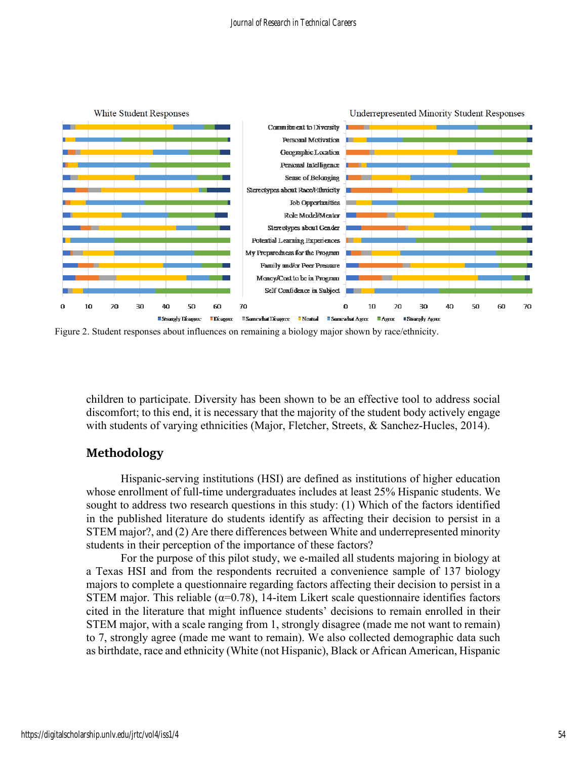

Figure 2. Student responses about influences on remaining a biology major shown by race/ethnicity.

children to participate. Diversity has been shown to be an effective tool to address social discomfort; to this end, it is necessary that the majority of the student body actively engage with students of varying ethnicities (Major, Fletcher, Streets, & Sanchez-Hucles, 2014).

#### **Methodology**

Hispanic-serving institutions (HSI) are defined as institutions of higher education whose enrollment of full-time undergraduates includes at least 25% Hispanic students. We sought to address two research questions in this study: (1) Which of the factors identified in the published literature do students identify as affecting their decision to persist in a STEM major?, and (2) Are there differences between White and underrepresented minority students in their perception of the importance of these factors?

For the purpose of this pilot study, we e-mailed all students majoring in biology at a Texas HSI and from the respondents recruited a convenience sample of 137 biology majors to complete a questionnaire regarding factors affecting their decision to persist in a STEM major. This reliable ( $\alpha$ =0.78), 14-item Likert scale questionnaire identifies factors cited in the literature that might influence students' decisions to remain enrolled in their STEM major, with a scale ranging from 1, strongly disagree (made me not want to remain) to 7, strongly agree (made me want to remain). We also collected demographic data such as birthdate, race and ethnicity (White (not Hispanic), Black or African American, Hispanic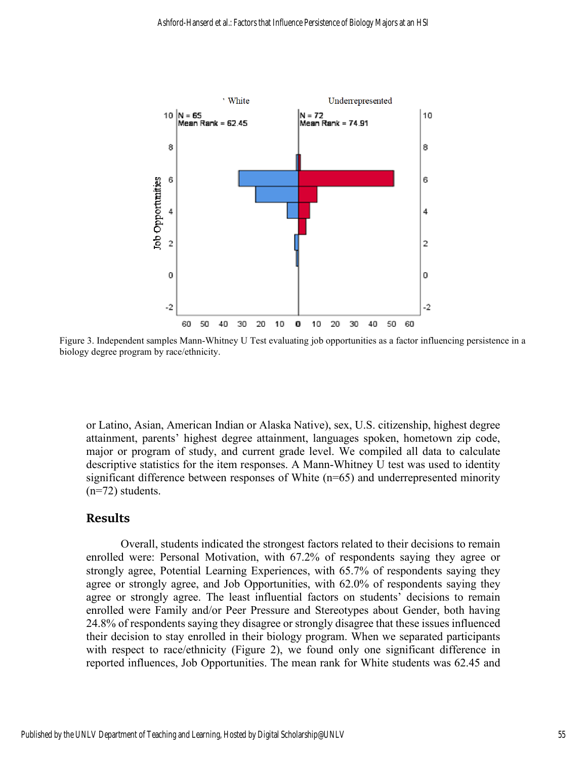

Figure 3. Independent samples Mann-Whitney U Test evaluating job opportunities as a factor influencing persistence in a biology degree program by race/ethnicity.

or Latino, Asian, American Indian or Alaska Native), sex, U.S. citizenship, highest degree attainment, parents' highest degree attainment, languages spoken, hometown zip code, major or program of study, and current grade level. We compiled all data to calculate descriptive statistics for the item responses. A Mann-Whitney U test was used to identity significant difference between responses of White (n=65) and underrepresented minority (n=72) students.

#### **Results**

Overall, students indicated the strongest factors related to their decisions to remain enrolled were: Personal Motivation, with 67.2% of respondents saying they agree or strongly agree, Potential Learning Experiences, with 65.7% of respondents saying they agree or strongly agree, and Job Opportunities, with 62.0% of respondents saying they agree or strongly agree. The least influential factors on students' decisions to remain enrolled were Family and/or Peer Pressure and Stereotypes about Gender, both having 24.8% of respondents saying they disagree or strongly disagree that these issues influenced their decision to stay enrolled in their biology program. When we separated participants with respect to race/ethnicity (Figure 2), we found only one significant difference in reported influences, Job Opportunities. The mean rank for White students was 62.45 and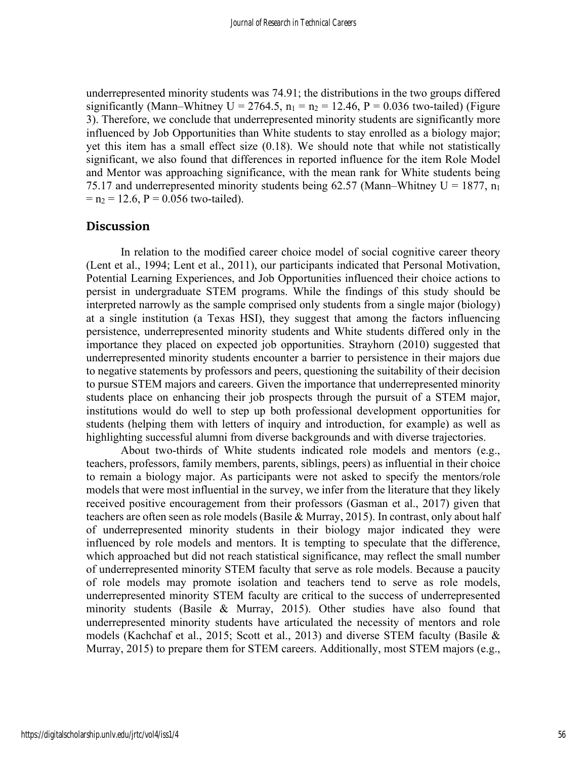underrepresented minority students was 74.91; the distributions in the two groups differed significantly (Mann–Whitney U = 2764.5,  $n_1 = n_2 = 12.46$ , P = 0.036 two-tailed) (Figure 3). Therefore, we conclude that underrepresented minority students are significantly more influenced by Job Opportunities than White students to stay enrolled as a biology major; yet this item has a small effect size (0.18). We should note that while not statistically significant, we also found that differences in reported influence for the item Role Model and Mentor was approaching significance, with the mean rank for White students being 75.17 and underrepresented minority students being 62.57 (Mann–Whitney  $U = 1877$ , n<sub>1</sub>  $=$  n<sub>2</sub> = 12.6, P = 0.056 two-tailed).

### **Discussion**

In relation to the modified career choice model of social cognitive career theory (Lent et al., 1994; Lent et al., 2011), our participants indicated that Personal Motivation, Potential Learning Experiences, and Job Opportunities influenced their choice actions to persist in undergraduate STEM programs. While the findings of this study should be interpreted narrowly as the sample comprised only students from a single major (biology) at a single institution (a Texas HSI), they suggest that among the factors influencing persistence, underrepresented minority students and White students differed only in the importance they placed on expected job opportunities. Strayhorn (2010) suggested that underrepresented minority students encounter a barrier to persistence in their majors due to negative statements by professors and peers, questioning the suitability of their decision to pursue STEM majors and careers. Given the importance that underrepresented minority students place on enhancing their job prospects through the pursuit of a STEM major, institutions would do well to step up both professional development opportunities for students (helping them with letters of inquiry and introduction, for example) as well as highlighting successful alumni from diverse backgrounds and with diverse trajectories.

About two-thirds of White students indicated role models and mentors (e.g., teachers, professors, family members, parents, siblings, peers) as influential in their choice to remain a biology major. As participants were not asked to specify the mentors/role models that were most influential in the survey, we infer from the literature that they likely received positive encouragement from their professors (Gasman et al., 2017) given that teachers are often seen as role models (Basile & Murray, 2015). In contrast, only about half of underrepresented minority students in their biology major indicated they were influenced by role models and mentors. It is tempting to speculate that the difference, which approached but did not reach statistical significance, may reflect the small number of underrepresented minority STEM faculty that serve as role models. Because a paucity of role models may promote isolation and teachers tend to serve as role models, underrepresented minority STEM faculty are critical to the success of underrepresented minority students (Basile & Murray, 2015). Other studies have also found that underrepresented minority students have articulated the necessity of mentors and role models (Kachchaf et al., 2015; Scott et al., 2013) and diverse STEM faculty (Basile & Murray, 2015) to prepare them for STEM careers. Additionally, most STEM majors (e.g.,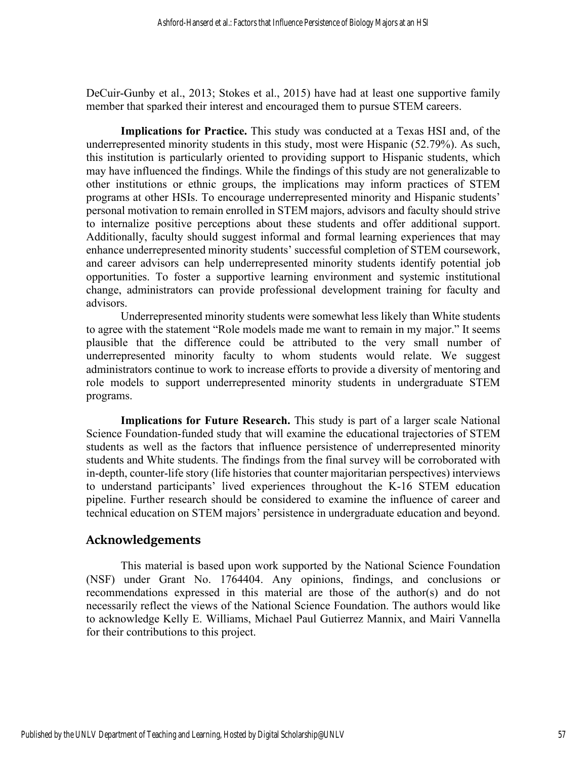DeCuir-Gunby et al., 2013; Stokes et al., 2015) have had at least one supportive family member that sparked their interest and encouraged them to pursue STEM careers.

**Implications for Practice.** This study was conducted at a Texas HSI and, of the underrepresented minority students in this study, most were Hispanic (52.79%). As such, this institution is particularly oriented to providing support to Hispanic students, which may have influenced the findings. While the findings of this study are not generalizable to other institutions or ethnic groups, the implications may inform practices of STEM programs at other HSIs. To encourage underrepresented minority and Hispanic students' personal motivation to remain enrolled in STEM majors, advisors and faculty should strive to internalize positive perceptions about these students and offer additional support. Additionally, faculty should suggest informal and formal learning experiences that may enhance underrepresented minority students' successful completion of STEM coursework, and career advisors can help underrepresented minority students identify potential job opportunities. To foster a supportive learning environment and systemic institutional change, administrators can provide professional development training for faculty and advisors.

Underrepresented minority students were somewhat less likely than White students to agree with the statement "Role models made me want to remain in my major." It seems plausible that the difference could be attributed to the very small number of underrepresented minority faculty to whom students would relate. We suggest administrators continue to work to increase efforts to provide a diversity of mentoring and role models to support underrepresented minority students in undergraduate STEM programs.

**Implications for Future Research.** This study is part of a larger scale National Science Foundation-funded study that will examine the educational trajectories of STEM students as well as the factors that influence persistence of underrepresented minority students and White students. The findings from the final survey will be corroborated with in-depth, counter-life story (life histories that counter majoritarian perspectives) interviews to understand participants' lived experiences throughout the K-16 STEM education pipeline. Further research should be considered to examine the influence of career and technical education on STEM majors' persistence in undergraduate education and beyond.

# **Acknowledgements**

This material is based upon work supported by the National Science Foundation (NSF) under Grant No. 1764404. Any opinions, findings, and conclusions or recommendations expressed in this material are those of the author(s) and do not necessarily reflect the views of the National Science Foundation. The authors would like to acknowledge Kelly E. Williams, Michael Paul Gutierrez Mannix, and Mairi Vannella for their contributions to this project.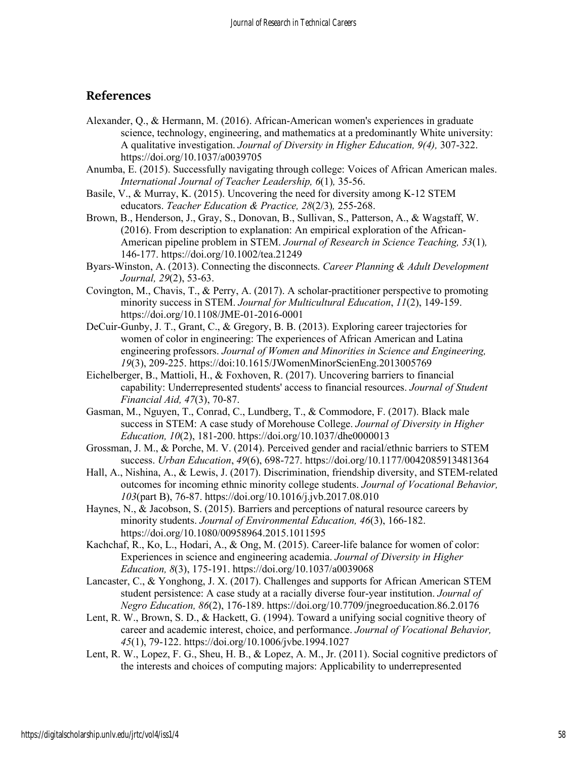# **References**

- Alexander, Q., & Hermann, M. (2016). African-American women's experiences in graduate science, technology, engineering, and mathematics at a predominantly White university: A qualitative investigation. *Journal of Diversity in Higher Education, 9(4),* 307-322. https://doi.org/10.1037/a0039705
- Anumba, E. (2015). Successfully navigating through college: Voices of African American males. *International Journal of Teacher Leadership, 6*(1)*,* 35-56.
- Basile, V., & Murray, K. (2015). Uncovering the need for diversity among K-12 STEM educators. *Teacher Education & Practice, 28*(2/3)*,* 255-268.
- Brown, B., Henderson, J., Gray, S., Donovan, B., Sullivan, S., Patterson, A., & Wagstaff, W. (2016). From description to explanation: An empirical exploration of the African-American pipeline problem in STEM. *Journal of Research in Science Teaching, 53*(1)*,* 146-177. https://doi.org/10.1002/tea.21249
- Byars-Winston, A. (2013). Connecting the disconnects. *Career Planning & Adult Development Journal, 29*(2), 53-63.
- Covington, M., Chavis, T., & Perry, A. (2017). A scholar-practitioner perspective to promoting minority success in STEM. *Journal for Multicultural Education*, *11*(2), 149-159. https://doi.org/10.1108/JME-01-2016-0001
- DeCuir-Gunby, J. T., Grant, C., & Gregory, B. B. (2013). Exploring career trajectories for women of color in engineering: The experiences of African American and Latina engineering professors. *Journal of Women and Minorities in Science and Engineering, 19*(3), 209-225. https://doi:10.1615/JWomenMinorScienEng.2013005769
- Eichelberger, B., Mattioli, H., & Foxhoven, R. (2017). Uncovering barriers to financial capability: Underrepresented students' access to financial resources. *Journal of Student Financial Aid, 47*(3), 70-87.
- Gasman, M., Nguyen, T., Conrad, C., Lundberg, T., & Commodore, F. (2017). Black male success in STEM: A case study of Morehouse College. *Journal of Diversity in Higher Education, 10*(2), 181-200. https://doi.org/10.1037/dhe0000013
- Grossman, J. M., & Porche, M. V. (2014). Perceived gender and racial/ethnic barriers to STEM success. *Urban Education*, *49*(6), 698-727. https://doi.org/10.1177/0042085913481364
- Hall, A., Nishina, A., & Lewis, J. (2017). Discrimination, friendship diversity, and STEM-related outcomes for incoming ethnic minority college students. *Journal of Vocational Behavior, 103*(part B), 76-87. https://doi.org/10.1016/j.jvb.2017.08.010
- Haynes, N., & Jacobson, S. (2015). Barriers and perceptions of natural resource careers by minority students. *Journal of Environmental Education, 46*(3), 166-182. https://doi.org/10.1080/00958964.2015.1011595
- Kachchaf, R., Ko, L., Hodari, A., & Ong, M. (2015). Career-life balance for women of color: Experiences in science and engineering academia. *Journal of Diversity in Higher Education, 8*(3), 175-191. https://doi.org/10.1037/a0039068
- Lancaster, C., & Yonghong, J. X. (2017). Challenges and supports for African American STEM student persistence: A case study at a racially diverse four-year institution. *Journal of Negro Education, 86*(2), 176-189. https://doi.org/10.7709/jnegroeducation.86.2.0176
- Lent, R. W., Brown, S. D., & Hackett, G. (1994). Toward a unifying social cognitive theory of career and academic interest, choice, and performance. *Journal of Vocational Behavior, 45*(1), 79-122. https://doi.org/10.1006/jvbe.1994.1027
- Lent, R. W., Lopez, F. G., Sheu, H. B., & Lopez, A. M., Jr. (2011). Social cognitive predictors of the interests and choices of computing majors: Applicability to underrepresented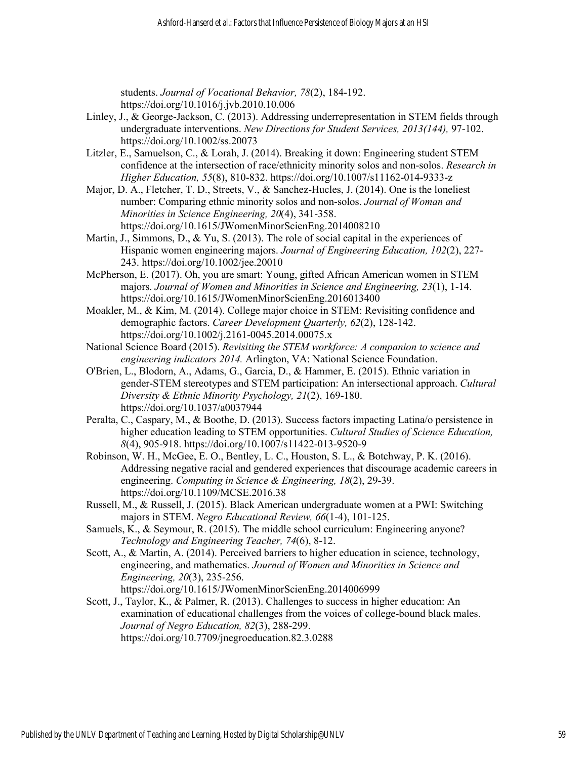students. *Journal of Vocational Behavior, 78*(2), 184-192. https://doi.org/10.1016/j.jvb.2010.10.006

- Linley, J., & George-Jackson, C. (2013). Addressing underrepresentation in STEM fields through undergraduate interventions. *New Directions for Student Services, 2013(144),* 97-102. https://doi.org/10.1002/ss.20073
- Litzler, E., Samuelson, C., & Lorah, J. (2014). Breaking it down: Engineering student STEM confidence at the intersection of race/ethnicity minority solos and non-solos. *Research in Higher Education, 55*(8), 810-832. https://doi.org/10.1007/s11162-014-9333-z
- Major, D. A., Fletcher, T. D., Streets, V., & Sanchez-Hucles, J. (2014). One is the loneliest number: Comparing ethnic minority solos and non-solos. *Journal of Woman and Minorities in Science Engineering, 20*(4), 341-358. https://doi.org/10.1615/JWomenMinorScienEng.2014008210
- Martin, J., Simmons, D., & Yu, S. (2013). The role of social capital in the experiences of Hispanic women engineering majors. *Journal of Engineering Education, 102*(2), 227- 243. https://doi.org/10.1002/jee.20010
- McPherson, E. (2017). Oh, you are smart: Young, gifted African American women in STEM majors. *Journal of Women and Minorities in Science and Engineering, 23*(1), 1-14. https://doi.org/10.1615/JWomenMinorScienEng.2016013400
- Moakler, M., & Kim, M. (2014). College major choice in STEM: Revisiting confidence and demographic factors. *Career Development Quarterly, 62*(2), 128-142. https://doi.org/10.1002/j.2161-0045.2014.00075.x
- National Science Board (2015). *Revisiting the STEM workforce: A companion to science and engineering indicators 2014.* Arlington, VA: National Science Foundation.
- O'Brien, L., Blodorn, A., Adams, G., Garcia, D., & Hammer, E. (2015). Ethnic variation in gender-STEM stereotypes and STEM participation: An intersectional approach. *Cultural Diversity & Ethnic Minority Psychology, 21*(2), 169-180. https://doi.org/10.1037/a0037944
- Peralta, C., Caspary, M., & Boothe, D. (2013). Success factors impacting Latina/o persistence in higher education leading to STEM opportunities. *Cultural Studies of Science Education, 8*(4), 905-918. https://doi.org/10.1007/s11422-013-9520-9
- Robinson, W. H., McGee, E. O., Bentley, L. C., Houston, S. L., & Botchway, P. K. (2016). Addressing negative racial and gendered experiences that discourage academic careers in engineering. *Computing in Science & Engineering, 18*(2), 29-39. https://doi.org/10.1109/MCSE.2016.38
- Russell, M., & Russell, J. (2015). Black American undergraduate women at a PWI: Switching majors in STEM. *Negro Educational Review, 66*(1-4), 101-125.
- Samuels, K., & Seymour, R. (2015). The middle school curriculum: Engineering anyone? *Technology and Engineering Teacher, 74*(6), 8-12.
- Scott, A., & Martin, A. (2014). Perceived barriers to higher education in science, technology, engineering, and mathematics. *Journal of Women and Minorities in Science and Engineering, 20*(3), 235-256. https://doi.org/10.1615/JWomenMinorScienEng.2014006999
- Scott, J., Taylor, K., & Palmer, R. (2013). Challenges to success in higher education: An examination of educational challenges from the voices of college-bound black males. *Journal of Negro Education, 82*(3), 288-299. https://doi.org/10.7709/jnegroeducation.82.3.0288